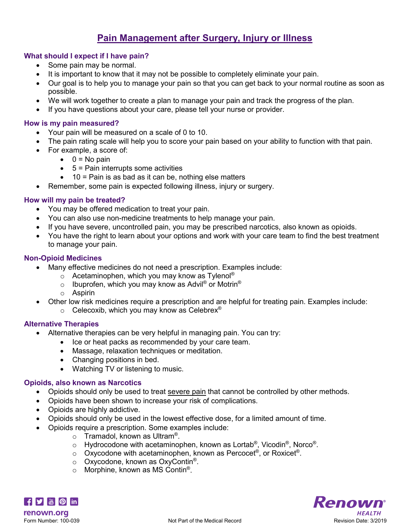# **Pain Management after Surgery, Injury or Illness**

## **What should I expect if I have pain?**

- Some pain may be normal.
- It is important to know that it may not be possible to completely eliminate your pain.
- Our goal is to help you to manage your pain so that you can get back to your normal routine as soon as possible.
- We will work together to create a plan to manage your pain and track the progress of the plan.
- If you have questions about your care, please tell your nurse or provider.

## **How is my pain measured?**

- Your pain will be measured on a scale of 0 to 10.
- The pain rating scale will help you to score your pain based on your ability to function with that pain.
- For example, a score of:
	- $\bullet$  0 = No pain
	- $\bullet$  5 = Pain interrupts some activities
	- $\bullet$  10 = Pain is as bad as it can be, nothing else matters
- Remember, some pain is expected following illness, injury or surgery.

## **How will my pain be treated?**

- You may be offered medication to treat your pain.
- You can also use non-medicine treatments to help manage your pain.
- If you have severe, uncontrolled pain, you may be prescribed narcotics, also known as opioids.
- You have the right to learn about your options and work with your care team to find the best treatment to manage your pain.

## **Non-Opioid Medicines**

- Many effective medicines do not need a prescription. Examples include:
	- $\circ$  Acetaminophen, which you may know as Tylenol<sup>®</sup>
	- o Ibuprofen, which you may know as Advil<sup>®</sup> or Motrin<sup>®</sup>
	- o Aspirin
- Other low risk medicines require a prescription and are helpful for treating pain. Examples include:
	- $\circ$  Celecoxib, which you may know as Celebrex<sup>®</sup>

## **Alternative Therapies**

- Alternative therapies can be very helpful in managing pain. You can try:
	- Ice or heat packs as recommended by your care team.
	- Massage, relaxation techniques or meditation.
	- Changing positions in bed.
	- Watching TV or listening to music.

#### **Opioids, also known as Narcotics**

- Opioids should only be used to treat severe pain that cannot be controlled by other methods.
- Opioids have been shown to increase your risk of complications.
- Opioids are highly addictive.
- Opioids should only be used in the lowest effective dose, for a limited amount of time.
- Opioids require a prescription. Some examples include:
	- $\circ$  Tramadol, known as Ultram®.
	- $\circ$  Hydrocodone with acetaminophen, known as Lortab<sup>®</sup>, Vicodin<sup>®</sup>, Norco<sup>®</sup>.
	- $\circ$  Oxycodone with acetaminophen, known as Percocet<sup>®</sup>, or Roxicet<sup>®</sup>.
	- o Oxycodone, known as OxyContin®.
	- $\circ$  Morphine, known as MS Contin<sup>®</sup>.